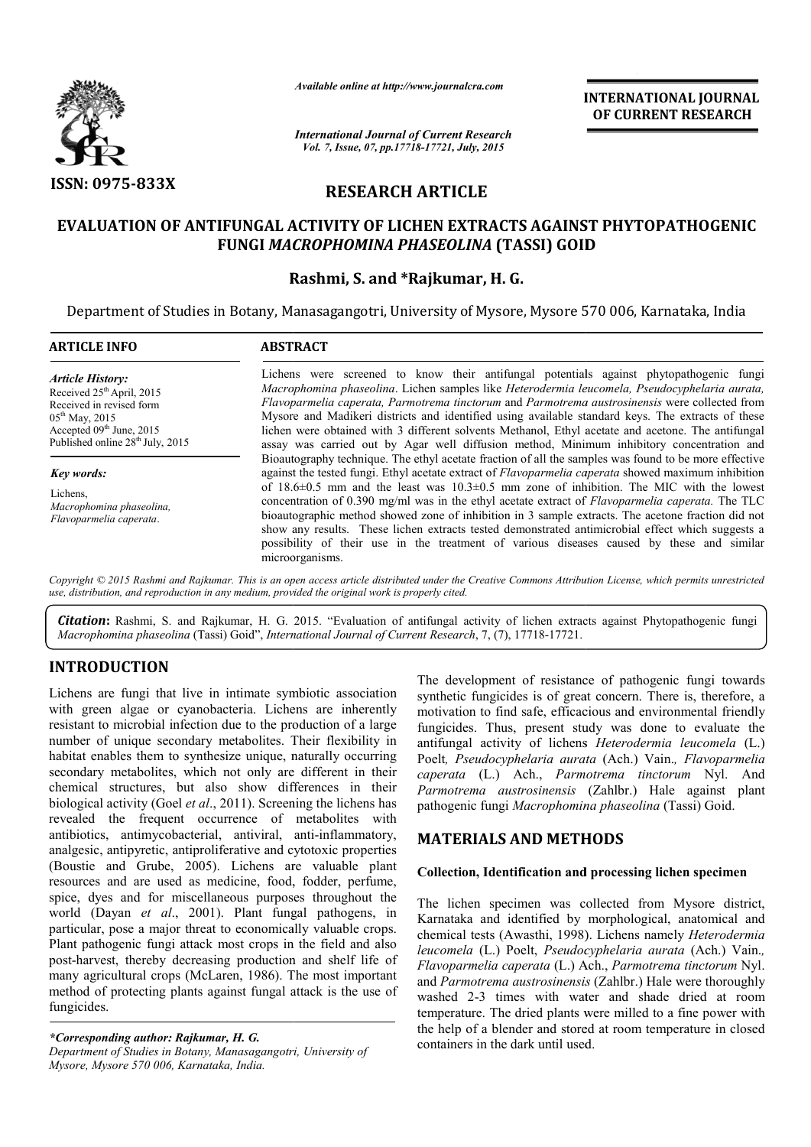

*Available online at http://www.journalcra.com*

# **RESEARCH ARTICLE**

## **EVALUATION OF ANTIFUNGAL ACTIVITY OF LICHEN EXTRACTS AGAINST PHYTOPATHOGENIC**  ANTIFUNGAL ACTIVITY OF LICHEN EXTRACTS AGAINST<br>FUNGI *MACROPHOMINA PHASEOLINA* (TASSI) GOID

## **Rashmi Rashmi, S. and \*Rajkumar, H. G.**

|                                                                                                                                                                                                                                                                                                                                                                                                                                                                                                                                                                                            | - главноге опите иг пир.//www.journatera.com                                                                                                                                                                                                                                                                                                                                                                                                                                                                                                                                                                                                                                                                                                                                                                                                                                                                                                                                                                                                                                                                                                                                                                                                                                                                                                          |                              | <b>INTERNATIONAL JOURNAL</b><br>OF CURRENT RESEARCH                                                                                                                                                                                                                                                                                                                                                                                                                                                                                                                          |  |  |
|--------------------------------------------------------------------------------------------------------------------------------------------------------------------------------------------------------------------------------------------------------------------------------------------------------------------------------------------------------------------------------------------------------------------------------------------------------------------------------------------------------------------------------------------------------------------------------------------|-------------------------------------------------------------------------------------------------------------------------------------------------------------------------------------------------------------------------------------------------------------------------------------------------------------------------------------------------------------------------------------------------------------------------------------------------------------------------------------------------------------------------------------------------------------------------------------------------------------------------------------------------------------------------------------------------------------------------------------------------------------------------------------------------------------------------------------------------------------------------------------------------------------------------------------------------------------------------------------------------------------------------------------------------------------------------------------------------------------------------------------------------------------------------------------------------------------------------------------------------------------------------------------------------------------------------------------------------------|------------------------------|------------------------------------------------------------------------------------------------------------------------------------------------------------------------------------------------------------------------------------------------------------------------------------------------------------------------------------------------------------------------------------------------------------------------------------------------------------------------------------------------------------------------------------------------------------------------------|--|--|
|                                                                                                                                                                                                                                                                                                                                                                                                                                                                                                                                                                                            | <b>International Journal of Current Research</b><br>Vol. 7, Issue, 07, pp.17718-17721, July, 2015                                                                                                                                                                                                                                                                                                                                                                                                                                                                                                                                                                                                                                                                                                                                                                                                                                                                                                                                                                                                                                                                                                                                                                                                                                                     |                              |                                                                                                                                                                                                                                                                                                                                                                                                                                                                                                                                                                              |  |  |
| ISSN: 0975-833X                                                                                                                                                                                                                                                                                                                                                                                                                                                                                                                                                                            | <b>RESEARCH ARTICLE</b>                                                                                                                                                                                                                                                                                                                                                                                                                                                                                                                                                                                                                                                                                                                                                                                                                                                                                                                                                                                                                                                                                                                                                                                                                                                                                                                               |                              |                                                                                                                                                                                                                                                                                                                                                                                                                                                                                                                                                                              |  |  |
|                                                                                                                                                                                                                                                                                                                                                                                                                                                                                                                                                                                            | <b>FUNGI MACROPHOMINA PHASEOLINA (TASSI) GOID</b>                                                                                                                                                                                                                                                                                                                                                                                                                                                                                                                                                                                                                                                                                                                                                                                                                                                                                                                                                                                                                                                                                                                                                                                                                                                                                                     |                              | EVALUATION OF ANTIFUNGAL ACTIVITY OF LICHEN EXTRACTS AGAINST PHYTOPATHOGENIC                                                                                                                                                                                                                                                                                                                                                                                                                                                                                                 |  |  |
|                                                                                                                                                                                                                                                                                                                                                                                                                                                                                                                                                                                            | Rashmi, S. and *Rajkumar, H. G.                                                                                                                                                                                                                                                                                                                                                                                                                                                                                                                                                                                                                                                                                                                                                                                                                                                                                                                                                                                                                                                                                                                                                                                                                                                                                                                       |                              | Department of Studies in Botany, Manasagangotri, University of Mysore, Mysore 570 006, Karnataka, India                                                                                                                                                                                                                                                                                                                                                                                                                                                                      |  |  |
| <b>ARTICLE INFO</b>                                                                                                                                                                                                                                                                                                                                                                                                                                                                                                                                                                        | <b>ABSTRACT</b>                                                                                                                                                                                                                                                                                                                                                                                                                                                                                                                                                                                                                                                                                                                                                                                                                                                                                                                                                                                                                                                                                                                                                                                                                                                                                                                                       |                              |                                                                                                                                                                                                                                                                                                                                                                                                                                                                                                                                                                              |  |  |
| <b>Article History:</b><br>Received 25 <sup>th</sup> April, 2015<br>Received in revised form<br>05 <sup>th</sup> May, 2015<br>Accepted 09th June, 2015<br>Published online 28 <sup>th</sup> July, 2015                                                                                                                                                                                                                                                                                                                                                                                     | Lichens were screened to know their antifungal potentials against phytopathogenic fungi<br>Macrophomina phaseolina. Lichen samples like Heterodermia leucomela, Pseudocyphelaria aurata,<br>Flavoparmelia caperata, Parmotrema tinctorum and Parmotrema austrosinensis were collected from<br>Mysore and Madikeri districts and identified using available standard keys. The extracts of these<br>lichen were obtained with 3 different solvents Methanol, Ethyl acetate and acetone. The antifungal<br>assay was carried out by Agar well diffusion method, Minimum inhibitory concentration and<br>Bioautography technique. The ethyl acetate fraction of all the samples was found to be more effective<br>against the tested fungi. Ethyl acetate extract of Flavoparmelia caperata showed maximum inhibition<br>of $18.6\pm0.5$ mm and the least was $10.3\pm0.5$ mm zone of inhibition. The MIC with the lowest<br>concentration of 0.390 mg/ml was in the ethyl acetate extract of Flavoparmelia caperata. The TLC<br>bioautographic method showed zone of inhibition in 3 sample extracts. The acetone fraction did not<br>show any results. These lichen extracts tested demonstrated antimicrobial effect which suggests a<br>possibility of their use in the treatment of various diseases caused by these and similar<br>microorganisms. |                              |                                                                                                                                                                                                                                                                                                                                                                                                                                                                                                                                                                              |  |  |
| Key words:<br>Lichens.<br>Macrophomina phaseolina,<br>Flavoparmelia caperata.                                                                                                                                                                                                                                                                                                                                                                                                                                                                                                              |                                                                                                                                                                                                                                                                                                                                                                                                                                                                                                                                                                                                                                                                                                                                                                                                                                                                                                                                                                                                                                                                                                                                                                                                                                                                                                                                                       |                              |                                                                                                                                                                                                                                                                                                                                                                                                                                                                                                                                                                              |  |  |
| use, distribution, and reproduction in any medium, provided the original work is properly cited.                                                                                                                                                                                                                                                                                                                                                                                                                                                                                           |                                                                                                                                                                                                                                                                                                                                                                                                                                                                                                                                                                                                                                                                                                                                                                                                                                                                                                                                                                                                                                                                                                                                                                                                                                                                                                                                                       |                              | Copyright © 2015 Rashmi and Rajkumar. This is an open access article distributed under the Creative Commons Attribution License, which permits unrestricted                                                                                                                                                                                                                                                                                                                                                                                                                  |  |  |
|                                                                                                                                                                                                                                                                                                                                                                                                                                                                                                                                                                                            | Macrophomina phaseolina (Tassi) Goid", International Journal of Current Research, 7, (7), 17718-17721.                                                                                                                                                                                                                                                                                                                                                                                                                                                                                                                                                                                                                                                                                                                                                                                                                                                                                                                                                                                                                                                                                                                                                                                                                                                |                              | Citation: Rashmi, S. and Rajkumar, H. G. 2015. "Evaluation of antifungal activity of lichen extracts against Phytopathogenic fungi                                                                                                                                                                                                                                                                                                                                                                                                                                           |  |  |
| <b>INTRODUCTION</b>                                                                                                                                                                                                                                                                                                                                                                                                                                                                                                                                                                        |                                                                                                                                                                                                                                                                                                                                                                                                                                                                                                                                                                                                                                                                                                                                                                                                                                                                                                                                                                                                                                                                                                                                                                                                                                                                                                                                                       |                              |                                                                                                                                                                                                                                                                                                                                                                                                                                                                                                                                                                              |  |  |
| Lichens are fungi that live in intimate symbiotic association<br>with green algae or cyanobacteria. Lichens are inherently<br>resistant to microbial infection due to the production of a large<br>number of unique secondary metabolites. Their flexibility in<br>habitat enables them to synthesize unique, naturally occurring<br>secondary metabolites, which not only are different in their<br>chemical structures, but also show differences in their<br>biological activity (Goel et al., 2011). Screening the lichens has<br>revealed the frequent occurrence of metabolites with |                                                                                                                                                                                                                                                                                                                                                                                                                                                                                                                                                                                                                                                                                                                                                                                                                                                                                                                                                                                                                                                                                                                                                                                                                                                                                                                                                       |                              | The development of resistance of pathogenic fungi towards<br>synthetic fungicides is of great concern. There is, therefore, a<br>motivation to find safe, efficacious and environmental friendly<br>fungicides. Thus, present study was done to evaluate the<br>antifungal activity of lichens Heterodermia leucomela (L.)<br>Poelt, Pseudocyphelaria aurata (Ach.) Vain., Flavoparmelia<br>caperata (L.) Ach., Parmotrema tinctorum Nyl. And<br>Parmotrema austrosinensis (Zahlbr.) Hale against plant<br>pathogenic fungi Macrophomina phaseolina (Tassi) Goid.            |  |  |
| antibiotics, antimycobacterial, antiviral, anti-inflammatory,<br>analgesic, antipyretic, antiproliferative and cytotoxic properties                                                                                                                                                                                                                                                                                                                                                                                                                                                        |                                                                                                                                                                                                                                                                                                                                                                                                                                                                                                                                                                                                                                                                                                                                                                                                                                                                                                                                                                                                                                                                                                                                                                                                                                                                                                                                                       | <b>MATERIALS AND METHODS</b> |                                                                                                                                                                                                                                                                                                                                                                                                                                                                                                                                                                              |  |  |
| (Boustie and Grube, 2005). Lichens are valuable plant<br>resources and are used as medicine, food, fodder, perfume,                                                                                                                                                                                                                                                                                                                                                                                                                                                                        |                                                                                                                                                                                                                                                                                                                                                                                                                                                                                                                                                                                                                                                                                                                                                                                                                                                                                                                                                                                                                                                                                                                                                                                                                                                                                                                                                       |                              | Collection, Identification and processing lichen specimen                                                                                                                                                                                                                                                                                                                                                                                                                                                                                                                    |  |  |
| spice, dyes and for miscellaneous purposes throughout the<br>world (Dayan et al., 2001). Plant fungal pathogens, in<br>particular, pose a major threat to economically valuable crops.<br>Plant pathogenic fungi attack most crops in the field and also<br>post-harvest, thereby decreasing production and shelf life of<br>many agricultural crops (McLaren, 1986). The most important<br>method of protecting plants against fungal attack is the use of<br>fungicides.                                                                                                                 |                                                                                                                                                                                                                                                                                                                                                                                                                                                                                                                                                                                                                                                                                                                                                                                                                                                                                                                                                                                                                                                                                                                                                                                                                                                                                                                                                       |                              | The lichen specimen was collected from Mysore district,<br>Karnataka and identified by morphological, anatomical and<br>chemical tests (Awasthi, 1998). Lichens namely Heterodermia<br>leucomela (L.) Poelt, Pseudocyphelaria aurata (Ach.) Vain.,<br>Flavoparmelia caperata (L.) Ach., Parmotrema tinctorum Nyl.<br>and Parmotrema austrosinensis (Zahlbr.) Hale were thoroughly<br>washed 2-3 times with water and shade dried at room<br>temperature. The dried plants were milled to a fine power with<br>the help of a blender and stored at room temperature in closed |  |  |

# **INTRODUCTION**

## **MATERIALS AND METHODS**

### **Collection, Identification and processing lichen specimen**

The lichen specimen was collected from Mysore district, The lichen specimen was collected from Mysore district, Karnataka and identified by morphological, anatomical and chemical tests (Awasthi, 1998). Lichens namely *Heterodermia leucomela* (L.) Poelt, *Pseudocyphelaria aurata*  (Ach.) Vain.*, Flavoparmelia caperata* (L.) Ach., Ach., *Parmotrema tinctorum* Nyl. and *Parmotrema austrosinensis* (Zahlbr.) Hale were thoroughly washed 2-3 times with water and shade dried at room temperature. The dried plants were milled to a fine power with the help of a blender and stored at room temperature in closed containers in the dark until used.

*<sup>\*</sup>Corresponding author: Rajkumar, H. G. Department of Studies in Botany, Manasagangotri, University of Mysore, Mysore 570 006, Karnataka, India.*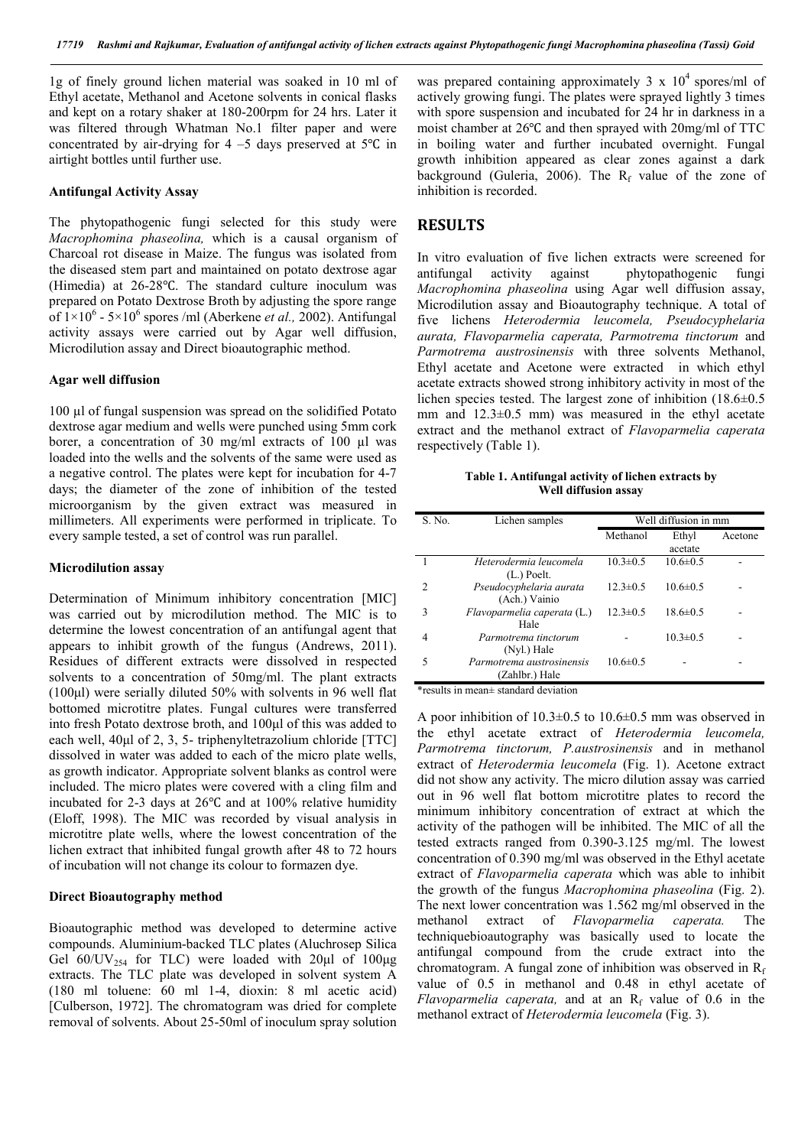1g of finely ground lichen material was soaked in 10 ml of Ethyl acetate, Methanol and Acetone solvents in conical flasks and kept on a rotary shaker at 180-200rpm for 24 hrs. Later it was filtered through Whatman No.1 filter paper and were concentrated by air-drying for  $4 - 5$  days preserved at  $5^{\circ}$ C in airtight bottles until further use.

#### **Antifungal Activity Assay**

The phytopathogenic fungi selected for this study were *Macrophomina phaseolina,* which is a causal organism of Charcoal rot disease in Maize. The fungus was isolated from the diseased stem part and maintained on potato dextrose agar (Himedia) at 26-28℃. The standard culture inoculum was prepared on Potato Dextrose Broth by adjusting the spore range of  $1 \times 10^6$  -  $5 \times 10^6$  spores /ml (Aberkene *et al.*, 2002). Antifungal activity assays were carried out by Agar well diffusion, Microdilution assay and Direct bioautographic method.

#### **Agar well diffusion**

100 µl of fungal suspension was spread on the solidified Potato dextrose agar medium and wells were punched using 5mm cork borer, a concentration of 30 mg/ml extracts of 100 µl was loaded into the wells and the solvents of the same were used as a negative control. The plates were kept for incubation for 4-7 days; the diameter of the zone of inhibition of the tested microorganism by the given extract was measured in millimeters. All experiments were performed in triplicate. To every sample tested, a set of control was run parallel.

#### **Microdilution assay**

Determination of Minimum inhibitory concentration [MIC] was carried out by microdilution method. The MIC is to determine the lowest concentration of an antifungal agent that appears to inhibit growth of the fungus (Andrews, 2011). Residues of different extracts were dissolved in respected solvents to a concentration of 50mg/ml. The plant extracts (100μl) were serially diluted 50% with solvents in 96 well flat bottomed microtitre plates. Fungal cultures were transferred into fresh Potato dextrose broth, and 100μl of this was added to each well, 40μl of 2, 3, 5- triphenyltetrazolium chloride [TTC] dissolved in water was added to each of the micro plate wells, as growth indicator. Appropriate solvent blanks as control were included. The micro plates were covered with a cling film and incubated for 2-3 days at 26℃ and at 100% relative humidity (Eloff, 1998). The MIC was recorded by visual analysis in microtitre plate wells, where the lowest concentration of the lichen extract that inhibited fungal growth after 48 to 72 hours of incubation will not change its colour to formazen dye.

#### **Direct Bioautography method**

Bioautographic method was developed to determine active compounds. Aluminium-backed TLC plates (Aluchrosep Silica Gel  $60/UV_{254}$  for TLC) were loaded with  $20\mu$ l of  $100\mu$ g extracts. The TLC plate was developed in solvent system A (180 ml toluene: 60 ml 1-4, dioxin: 8 ml acetic acid) [Culberson, 1972]. The chromatogram was dried for complete removal of solvents. About 25-50ml of inoculum spray solution

was prepared containing approximately  $3 \times 10^4$  spores/ml of actively growing fungi. The plates were sprayed lightly 3 times with spore suspension and incubated for 24 hr in darkness in a moist chamber at 26℃ and then sprayed with 20mg/ml of TTC in boiling water and further incubated overnight. Fungal growth inhibition appeared as clear zones against a dark background (Guleria, 2006). The  $R_f$  value of the zone of inhibition is recorded.

### **RESULTS**

In vitro evaluation of five lichen extracts were screened for antifungal activity against phytopathogenic fungi *Macrophomina phaseolina* using Agar well diffusion assay, Microdilution assay and Bioautography technique. A total of five lichens *Heterodermia leucomela, Pseudocyphelaria aurata, Flavoparmelia caperata, Parmotrema tinctorum* and *Parmotrema austrosinensis* with three solvents Methanol, Ethyl acetate and Acetone were extracted in which ethyl acetate extracts showed strong inhibitory activity in most of the lichen species tested. The largest zone of inhibition (18.6±0.5 mm and 12.3±0.5 mm) was measured in the ethyl acetate extract and the methanol extract of *Flavoparmelia caperata* respectively (Table 1).

**Table 1. Antifungal activity of lichen extracts by Well diffusion assay**

| S. No.         | Lichen samples                                           | Well diffusion in mm |                |         |
|----------------|----------------------------------------------------------|----------------------|----------------|---------|
|                |                                                          | Methanol             | Ethyl          | Acetone |
|                |                                                          |                      | acetate        |         |
|                | Heterodermia leucomela                                   | $10.3 \pm 0.5$       | $10.6 \pm 0.5$ |         |
| $\mathfrak{D}$ | $(L)$ Poelt.<br>Pseudocyphelaria aurata<br>(Ach.) Vainio | $12.3 \pm 0.5$       | $10.6 \pm 0.5$ |         |
| 3              | Flavoparmelia caperata (L.)<br>Hale                      | $12.3 \pm 0.5$       | $18.6 \pm 0.5$ |         |
| 4              | Parmotrema tinctorum<br>(Nyl.) Hale                      |                      | $10.3 \pm 0.5$ |         |
|                | Parmotrema austrosinensis<br>(Zahlbr.) Hale              | $10.6 \pm 0.5$       |                |         |

\*results in mean± standard deviation

A poor inhibition of 10.3±0.5 to 10.6±0.5 mm was observed in the ethyl acetate extract of *Heterodermia leucomela, Parmotrema tinctorum, P.austrosinensis* and in methanol extract of *Heterodermia leucomela* (Fig. 1). Acetone extract did not show any activity. The micro dilution assay was carried out in 96 well flat bottom microtitre plates to record the minimum inhibitory concentration of extract at which the activity of the pathogen will be inhibited. The MIC of all the tested extracts ranged from 0.390-3.125 mg/ml. The lowest concentration of 0.390 mg/ml was observed in the Ethyl acetate extract of *Flavoparmelia caperata* which was able to inhibit the growth of the fungus *Macrophomina phaseolina* (Fig. 2). The next lower concentration was 1.562 mg/ml observed in the methanol extract of *Flavoparmelia caperata.* The techniquebioautography was basically used to locate the antifungal compound from the crude extract into the chromatogram. A fungal zone of inhibition was observed in  $R_f$ value of 0.5 in methanol and 0.48 in ethyl acetate of *Flavoparmelia caperata,* and at an  $R_f$  value of 0.6 in the methanol extract of *Heterodermia leucomela* (Fig. 3).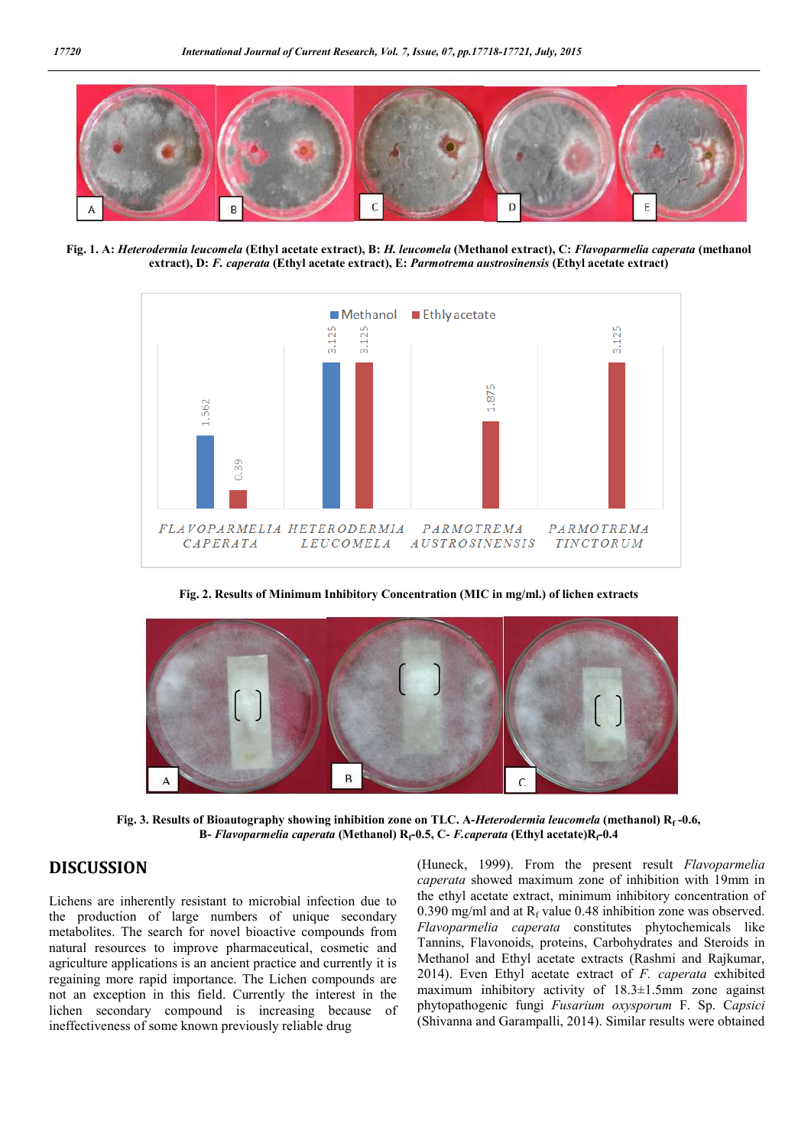

**Fig. 1. A:** *Heterodermia leucomela* **(Ethyl acetate extract), B:** *H. leucomela* **(Methanol extract), C:** *Flavoparmelia caperata* **(methanol extract), D:** *F. caperata* **(Ethyl acetate extract), E:** *Parmotrema austrosinensis* **(Ethyl acetate extract)**



**Fig. 2. Results of Minimum Inhibitory Concentration (MIC in mg/ml.) of lichen extracts**



**Fig. 3. Results of Bioautography showing inhibition zone on TLC. A-***Heterodermia leucomela* **(methanol) Rf -0.6, B-** *Flavoparmelia caperata* (Methanol) R<sub>f</sub>-0.5, C- *F.caperata* (Ethyl acetate)R<sub>f</sub>-0.4

# **DISCUSSION**

Lichens are inherently resistant to microbial infection due to the production of large numbers of unique secondary metabolites. The search for novel bioactive compounds from natural resources to improve pharmaceutical, cosmetic and agriculture applications is an ancient practice and currently it is regaining more rapid importance. The Lichen compounds are not an exception in this field. Currently the interest in the lichen secondary compound is increasing because of ineffectiveness of some known previously reliable drug

(Huneck, 1999). From the present result *Flavoparmelia caperata* showed maximum zone of inhibition with 19mm in the ethyl acetate extract, minimum inhibitory concentration of 0.390 mg/ml and at  $R_f$  value 0.48 inhibition zone was observed. *Flavoparmelia caperata* constitutes phytochemicals like Tannins, Flavonoids, proteins, Carbohydrates and Steroids in Methanol and Ethyl acetate extracts (Rashmi and Rajkumar, 2014). Even Ethyl acetate extract of *F. caperata* exhibited maximum inhibitory activity of 18.3±1.5mm zone against phytopathogenic fungi *Fusarium oxysporum* F. Sp. C*apsici* (Shivanna and Garampalli, 2014). Similar results were obtained